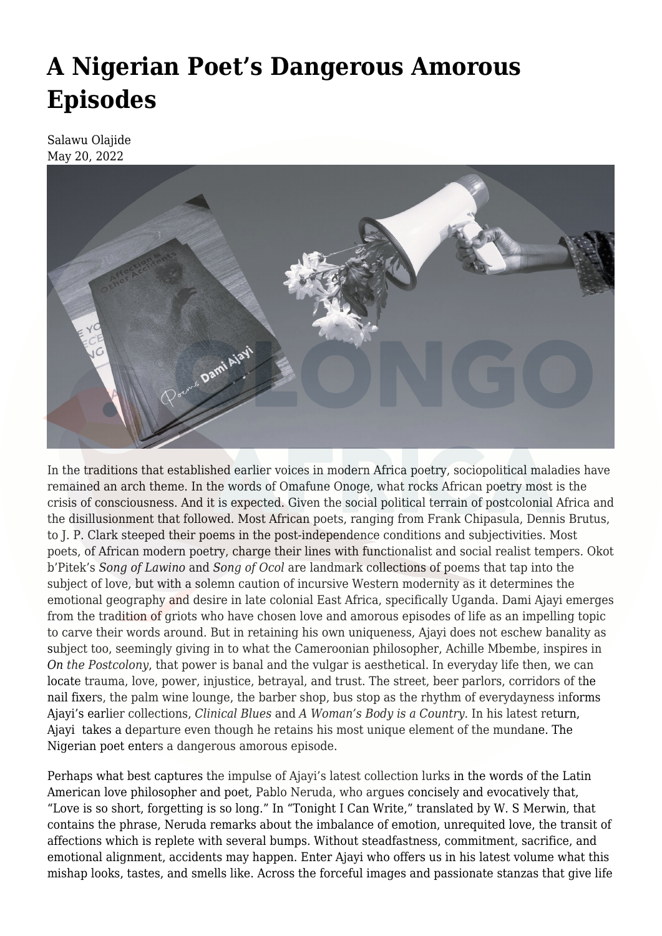## **[A Nigerian Poet's Dangerous Amorous](https://olongoafrica.com/a-nigerian-poets-dangerous-amorous-episodes/) [Episodes](https://olongoafrica.com/a-nigerian-poets-dangerous-amorous-episodes/)**

Salawu Olajide May 20, 2022



In the traditions that established earlier voices in modern Africa poetry, sociopolitical maladies have remained an arch theme. In the words o[f Omafune Onoge,](https://www.africabib.org/rec.php?RID=191049158) what rocks African poetry most is the crisis of consciousness. And it is expected. Given the social political terrain of postcolonial Africa and the disillusionment that followed. Most African poets, ranging from Frank Chipasula, Dennis Brutus, to J. P. Clark steeped their poems in the post-independence conditions and subjectivities. Most poets, of African modern poetry, charge their lines with functionalist and social realist tempers. Okot b'Pitek's *[Song of Lawino](https://en.wikipedia.org/wiki/Song_of_Lawino)* and *[Song of Ocol](https://www.encyclopedia.com/arts/culture-magazines/song-lawino-and-song-ocol)* are landmark collections of poems that tap into the subject of love, but with a solemn caution of incursive Western modernity as it determines the emotional geography and desire in late colonial East Africa, specifically Uganda. Dami Ajayi emerges from the tradition of griots who have chosen love and amorous episodes of life as an impelling topic to carve their words around. But in retaining his own uniqueness, Ajayi does not eschew banality as subject too, seemingly giving in to what the Cameroonian philosopher, Achille Mbembe, inspires in *[On the Postcolony](https://www.ucpress.edu/book/9780520204355/on-the-postcolony)*, that power is banal and the vulgar is aesthetical. In everyday life then, we can locate trauma, love, power, injustice, betrayal, and trust. The street, beer parlors, corridors of the nail fixers, the palm wine lounge, the barber shop, bus stop as the rhythm of everydayness informs Ajayi's earlier collections, *[Clinical Blues](https://artsnliteraturenews.wordpress.com/2015/10/27/the-poet-and-his-patient-a-review-of-dami-ajayis-clinical-blues/)* and *[A Woman's Body is a Country](https://www.premiumtimesng.com/entertainment/artsbooks/250698-dami-ajayi-journeying-beyond-geography-desire.html)*. In his latest return, Ajayi takes a departure even though he retains his most unique element of the mundane. The Nigerian poet enters a dangerous amorous episode.

Perhaps what best captures the impulse of Ajayi's latest collection lurks in the words of the Latin American love philosopher and poet, Pablo Neruda, who argues concisely and evocatively that, "Love is so short, forgetting is so long." In ["Tonight I Can Write](https://www.theguardian.com/books/2004/jul/03/featuresreviews.guardianreview27)," translated by W. S Merwin, that contains the phrase, Neruda remarks about the imbalance of emotion, unrequited love, the transit of affections which is replete with several bumps. Without steadfastness, commitment, sacrifice, and emotional alignment, accidents may happen. Enter Ajayi who offers us in his latest volume what this mishap looks, tastes, and smells like. Across the forceful images and passionate stanzas that give life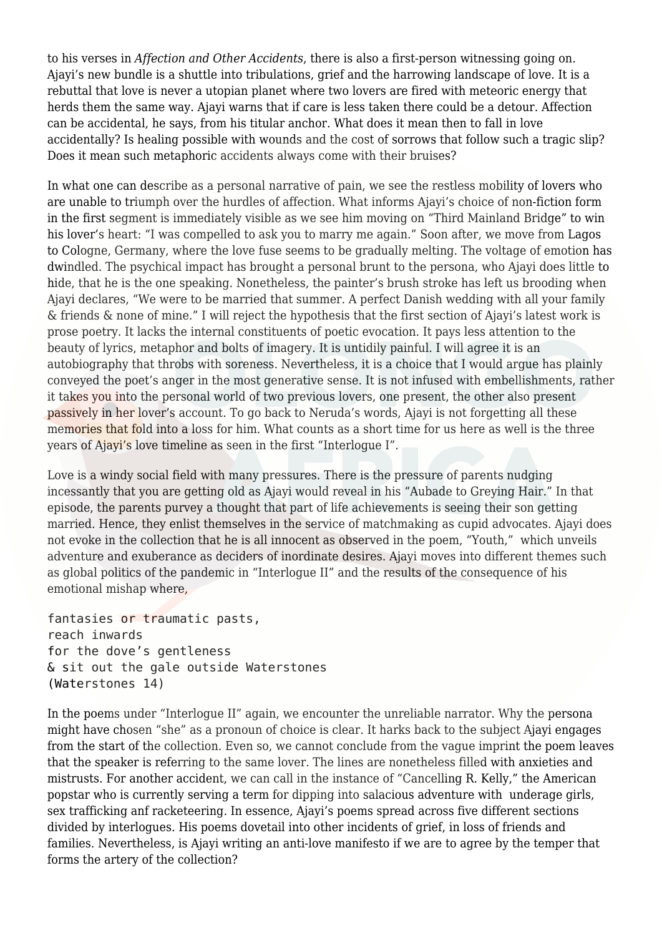to his verses in *Affection and Other Accidents*, there is also a first-person witnessing going on. Ajayi's new bundle is a shuttle into tribulations, grief and the harrowing landscape of love. It is a rebuttal that love is never a utopian planet where two lovers are fired with meteoric energy that herds them the same way. Ajayi warns that if care is less taken there could be a detour. Affection can be accidental, he says, from his titular anchor. What does it mean then to fall in love accidentally? Is healing possible with wounds and the cost of sorrows that follow such a tragic slip? Does it mean such metaphoric accidents always come with their bruises?

In what one can describe as a personal narrative of pain, we see the restless mobility of lovers who are unable to triumph over the hurdles of affection. What informs Ajayi's choice of non-fiction form in the first segment is immediately visible as we see him moving on "Third Mainland Bridge" to win his lover's heart: "I was compelled to ask you to marry me again." Soon after, we move from Lagos to Cologne, Germany, where the love fuse seems to be gradually melting. The voltage of emotion has dwindled. The psychical impact has brought a personal brunt to the persona, who Ajayi does little to hide, that he is the one speaking. Nonetheless, the painter's brush stroke has left us brooding when Ajayi declares, "We were to be married that summer. A perfect Danish wedding with all your family & friends & none of mine." I will reject the hypothesis that the first section of Ajayi's latest work is prose poetry. It lacks the internal constituents of poetic evocation. It pays less attention to the beauty of lyrics, metaphor and bolts of imagery. It is untidily painful. I will agree it is an autobiography that throbs with soreness. Nevertheless, it is a choice that I would argue has plainly conveyed the poet's anger in the most generative sense. It is not infused with embellishments, rather it takes you into the personal world of two previous lovers, one present, the other also present passively in her lover's account. To go back to Neruda's words, Ajayi is not forgetting all these memories that fold into a loss for him. What counts as a short time for us here as well is the three years of Ajayi's love timeline as seen in the first "Interlogue I".

Love is a windy social field with many pressures. There is the pressure of parents nudging incessantly that you are getting old as Ajayi would reveal in his "Aubade to Greying Hair." In that episode, the parents purvey a thought that part of life achievements is seeing their son getting married. Hence, they enlist themselves in the service of matchmaking as cupid advocates. Ajayi does not evoke in the collection that he is all innocent as observed in the poem, "Youth," which unveils adventure and exuberance as deciders of inordinate desires. Ajayi moves into different themes such as global politics of the pandemic in "Interlogue II" and the results of the consequence of his emotional mishap where,

fantasies or traumatic pasts, reach inwards for the dove's gentleness & sit out the gale outside Waterstones (Waterstones 14)

In the poems under "Interlogue II" again, we encounter the unreliable narrator. Why the persona might have chosen "she" as a pronoun of choice is clear. It harks back to the subject Ajayi engages from the start of the collection. Even so, we cannot conclude from the vague imprint the poem leaves that the speaker is referring to the same lover. The lines are nonetheless filled with anxieties and mistrusts. For another accident, we can call in the instance of "Cancelling R. Kelly," the American popstar who is currently serving a [term](https://www.nytimes.com/live/2021/09/27/nyregion/r-kelly-trial-news) for dipping into salacious adventure with underage girls, sex trafficking anf racketeering. In essence, Ajayi's poems spread across five different sections divided by interlogues. His poems dovetail into other incidents of grief, in loss of friends and families. Nevertheless, is Ajayi writing an anti-love manifesto if we are to agree by the temper that forms the artery of the collection?